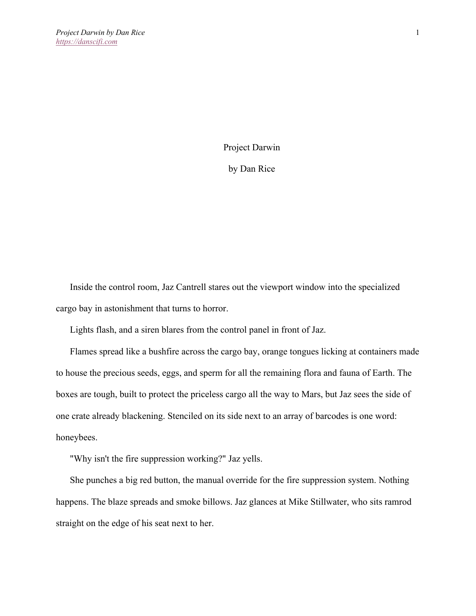Project Darwin

by Dan Rice

Inside the control room, Jaz Cantrell stares out the viewport window into the specialized cargo bay in astonishment that turns to horror.

Lights flash, and a siren blares from the control panel in front of Jaz.

Flames spread like a bushfire across the cargo bay, orange tongues licking at containers made to house the precious seeds, eggs, and sperm for all the remaining flora and fauna of Earth. The boxes are tough, built to protect the priceless cargo all the way to Mars, but Jaz sees the side of one crate already blackening. Stenciled on its side next to an array of barcodes is one word: honeybees.

"Why isn't the fire suppression working?" Jaz yells.

She punches a big red button, the manual override for the fire suppression system. Nothing happens. The blaze spreads and smoke billows. Jaz glances at Mike Stillwater, who sits ramrod straight on the edge of his seat next to her.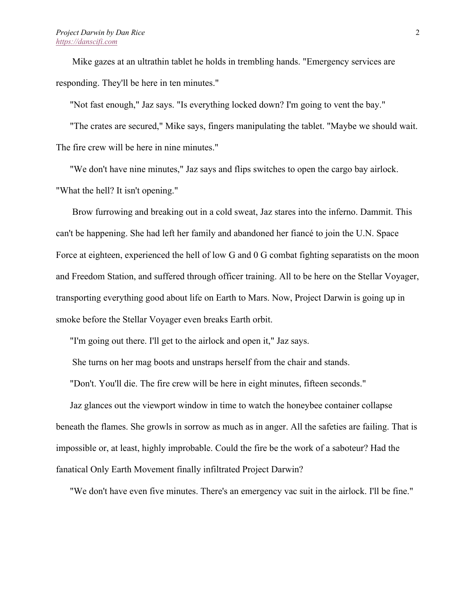Mike gazes at an ultrathin tablet he holds in trembling hands. "Emergency services are responding. They'll be here in ten minutes."

"Not fast enough," Jaz says. "Is everything locked down? I'm going to vent the bay."

"The crates are secured," Mike says, fingers manipulating the tablet. "Maybe we should wait. The fire crew will be here in nine minutes."

"We don't have nine minutes," Jaz says and flips switches to open the cargo bay airlock. "What the hell? It isn't opening."

Brow furrowing and breaking out in a cold sweat, Jaz stares into the inferno. Dammit. This can't be happening. She had left her family and abandoned her fiancé to join the U.N. Space Force at eighteen, experienced the hell of low G and 0 G combat fighting separatists on the moon and Freedom Station, and suffered through officer training. All to be here on the Stellar Voyager, transporting everything good about life on Earth to Mars. Now, Project Darwin is going up in smoke before the Stellar Voyager even breaks Earth orbit.

"I'm going out there. I'll get to the airlock and open it," Jaz says.

She turns on her mag boots and unstraps herself from the chair and stands.

"Don't. You'll die. The fire crew will be here in eight minutes, fifteen seconds."

Jaz glances out the viewport window in time to watch the honeybee container collapse beneath the flames. She growls in sorrow as much as in anger. All the safeties are failing. That is impossible or, at least, highly improbable. Could the fire be the work of a saboteur? Had the fanatical Only Earth Movement finally infiltrated Project Darwin?

"We don't have even five minutes. There's an emergency vac suit in the airlock. I'll be fine."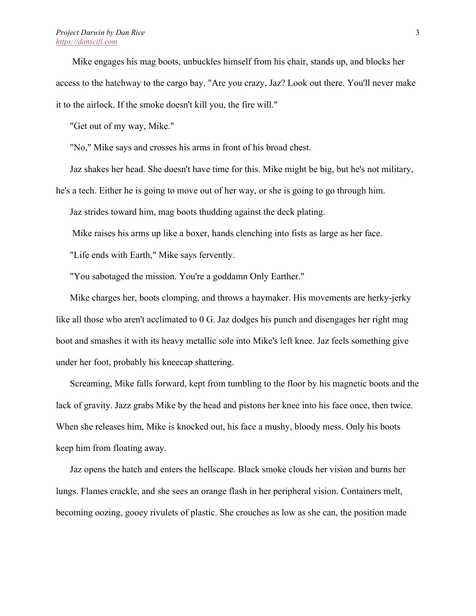## *Project Darwin by Dan Rice https://danscifi.com*

Mike engages his mag boots, unbuckles himself from his chair, stands up, and blocks her access to the hatchway to the cargo bay. "Are you crazy, Jaz? Look out there. You'll never make it to the airlock. If the smoke doesn't kill you, the fire will."

"Get out of my way, Mike."

"No," Mike says and crosses his arms in front of his broad chest.

Jaz shakes her head. She doesn't have time for this. Mike might be big, but he's not military,

he's a tech. Either he is going to move out of her way, or she is going to go through him.

Jaz strides toward him, mag boots thudding against the deck plating.

Mike raises his arms up like a boxer, hands clenching into fists as large as her face.

"Life ends with Earth," Mike says fervently.

"You sabotaged the mission. You're a goddamn Only Earther."

Mike charges her, boots clomping, and throws a haymaker. His movements are herky-jerky like all those who aren't acclimated to 0 G. Jaz dodges his punch and disengages her right mag boot and smashes it with its heavy metallic sole into Mike's left knee. Jaz feels something give under her foot, probably his kneecap shattering.

Screaming, Mike falls forward, kept from tumbling to the floor by his magnetic boots and the lack of gravity. Jazz grabs Mike by the head and pistons her knee into his face once, then twice. When she releases him, Mike is knocked out, his face a mushy, bloody mess. Only his boots keep him from floating away.

Jaz opens the hatch and enters the hellscape. Black smoke clouds her vision and burns her lungs. Flames crackle, and she sees an orange flash in her peripheral vision. Containers melt, becoming oozing, gooey rivulets of plastic. She crouches as low as she can, the position made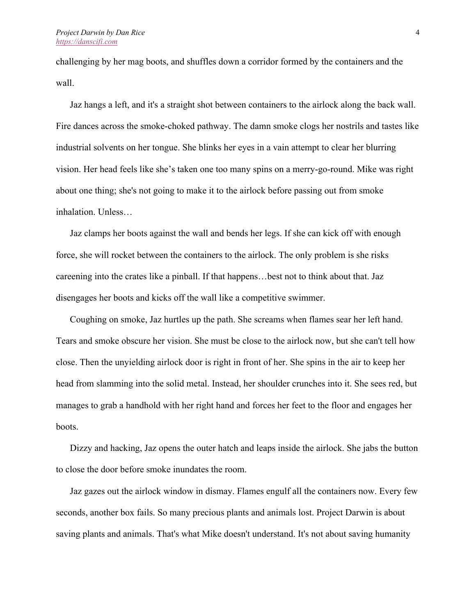challenging by her mag boots, and shuffles down a corridor formed by the containers and the wall.

Jaz hangs a left, and it's a straight shot between containers to the airlock along the back wall. Fire dances across the smoke-choked pathway. The damn smoke clogs her nostrils and tastes like industrial solvents on her tongue. She blinks her eyes in a vain attempt to clear her blurring vision. Her head feels like she's taken one too many spins on a merry-go-round. Mike was right about one thing; she's not going to make it to the airlock before passing out from smoke inhalation. Unless…

Jaz clamps her boots against the wall and bends her legs. If she can kick off with enough force, she will rocket between the containers to the airlock. The only problem is she risks careening into the crates like a pinball. If that happens…best not to think about that. Jaz disengages her boots and kicks off the wall like a competitive swimmer.

Coughing on smoke, Jaz hurtles up the path. She screams when flames sear her left hand. Tears and smoke obscure her vision. She must be close to the airlock now, but she can't tell how close. Then the unyielding airlock door is right in front of her. She spins in the air to keep her head from slamming into the solid metal. Instead, her shoulder crunches into it. She sees red, but manages to grab a handhold with her right hand and forces her feet to the floor and engages her boots.

Dizzy and hacking, Jaz opens the outer hatch and leaps inside the airlock. She jabs the button to close the door before smoke inundates the room.

Jaz gazes out the airlock window in dismay. Flames engulf all the containers now. Every few seconds, another box fails. So many precious plants and animals lost. Project Darwin is about saving plants and animals. That's what Mike doesn't understand. It's not about saving humanity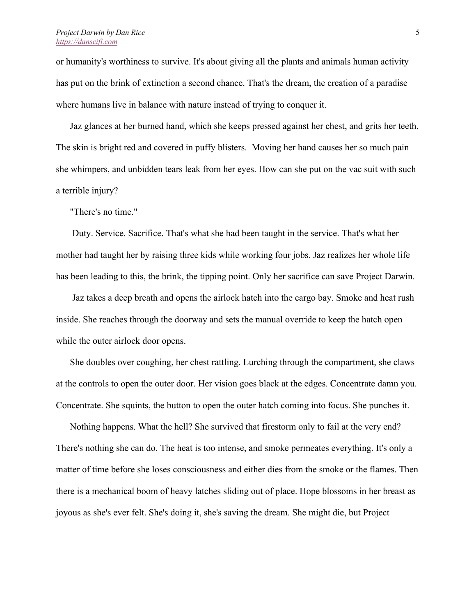or humanity's worthiness to survive. It's about giving all the plants and animals human activity has put on the brink of extinction a second chance. That's the dream, the creation of a paradise where humans live in balance with nature instead of trying to conquer it.

Jaz glances at her burned hand, which she keeps pressed against her chest, and grits her teeth. The skin is bright red and covered in puffy blisters. Moving her hand causes her so much pain she whimpers, and unbidden tears leak from her eyes. How can she put on the vac suit with such a terrible injury?

"There's no time."

Duty. Service. Sacrifice. That's what she had been taught in the service. That's what her mother had taught her by raising three kids while working four jobs. Jaz realizes her whole life has been leading to this, the brink, the tipping point. Only her sacrifice can save Project Darwin.

Jaz takes a deep breath and opens the airlock hatch into the cargo bay. Smoke and heat rush inside. She reaches through the doorway and sets the manual override to keep the hatch open while the outer airlock door opens.

She doubles over coughing, her chest rattling. Lurching through the compartment, she claws at the controls to open the outer door. Her vision goes black at the edges. Concentrate damn you. Concentrate. She squints, the button to open the outer hatch coming into focus. She punches it.

Nothing happens. What the hell? She survived that firestorm only to fail at the very end? There's nothing she can do. The heat is too intense, and smoke permeates everything. It's only a matter of time before she loses consciousness and either dies from the smoke or the flames. Then there is a mechanical boom of heavy latches sliding out of place. Hope blossoms in her breast as joyous as she's ever felt. She's doing it, she's saving the dream. She might die, but Project